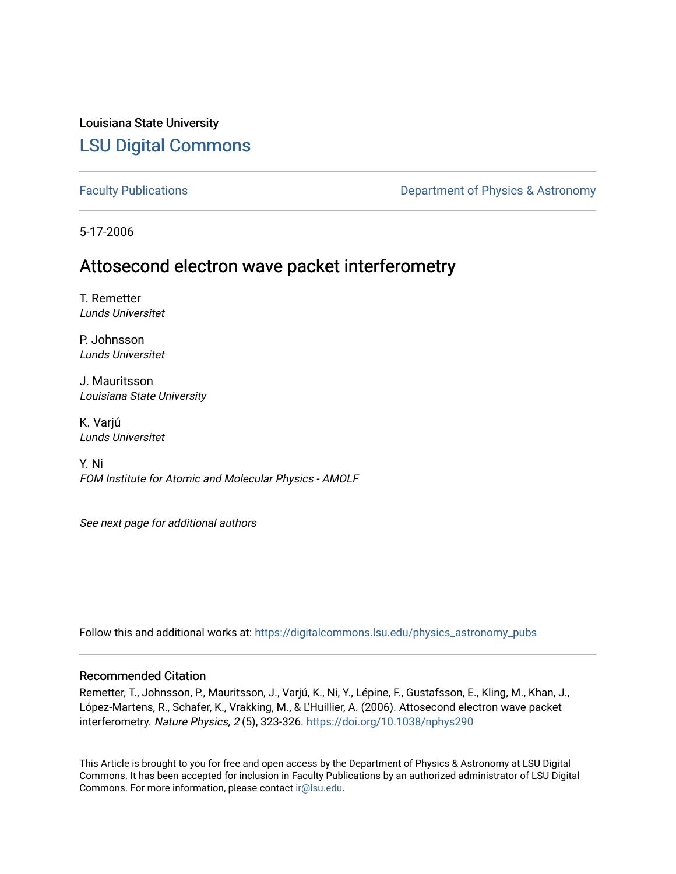# Louisiana State University [LSU Digital Commons](https://digitalcommons.lsu.edu/)

[Faculty Publications](https://digitalcommons.lsu.edu/physics_astronomy_pubs) **Exercise 2 and Table 2 and Table 2 and Table 2 and Table 2 and Table 2 and Table 2 and Table 2 and Table 2 and Table 2 and Table 2 and Table 2 and Table 2 and Table 2 and Table 2 and Table 2 and Table** 

5-17-2006

# Attosecond electron wave packet interferometry

T. Remetter Lunds Universitet

P. Johnsson Lunds Universitet

J. Mauritsson Louisiana State University

K. Varjú Lunds Universitet

Y. Ni FOM Institute for Atomic and Molecular Physics - AMOLF

See next page for additional authors

Follow this and additional works at: [https://digitalcommons.lsu.edu/physics\\_astronomy\\_pubs](https://digitalcommons.lsu.edu/physics_astronomy_pubs?utm_source=digitalcommons.lsu.edu%2Fphysics_astronomy_pubs%2F4908&utm_medium=PDF&utm_campaign=PDFCoverPages) 

### Recommended Citation

Remetter, T., Johnsson, P., Mauritsson, J., Varjú, K., Ni, Y., Lépine, F., Gustafsson, E., Kling, M., Khan, J., López-Martens, R., Schafer, K., Vrakking, M., & L'Huillier, A. (2006). Attosecond electron wave packet interferometry. Nature Physics, 2 (5), 323-326. <https://doi.org/10.1038/nphys290>

This Article is brought to you for free and open access by the Department of Physics & Astronomy at LSU Digital Commons. It has been accepted for inclusion in Faculty Publications by an authorized administrator of LSU Digital Commons. For more information, please contact [ir@lsu.edu](mailto:ir@lsu.edu).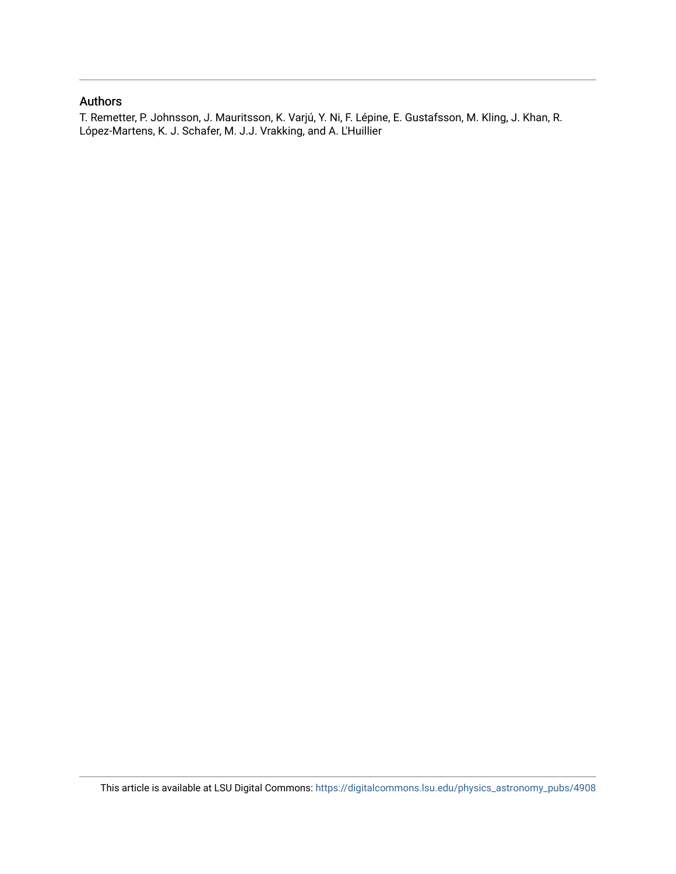### Authors

T. Remetter, P. Johnsson, J. Mauritsson, K. Varjú, Y. Ni, F. Lépine, E. Gustafsson, M. Kling, J. Khan, R. López-Martens, K. J. Schafer, M. J.J. Vrakking, and A. L'Huillier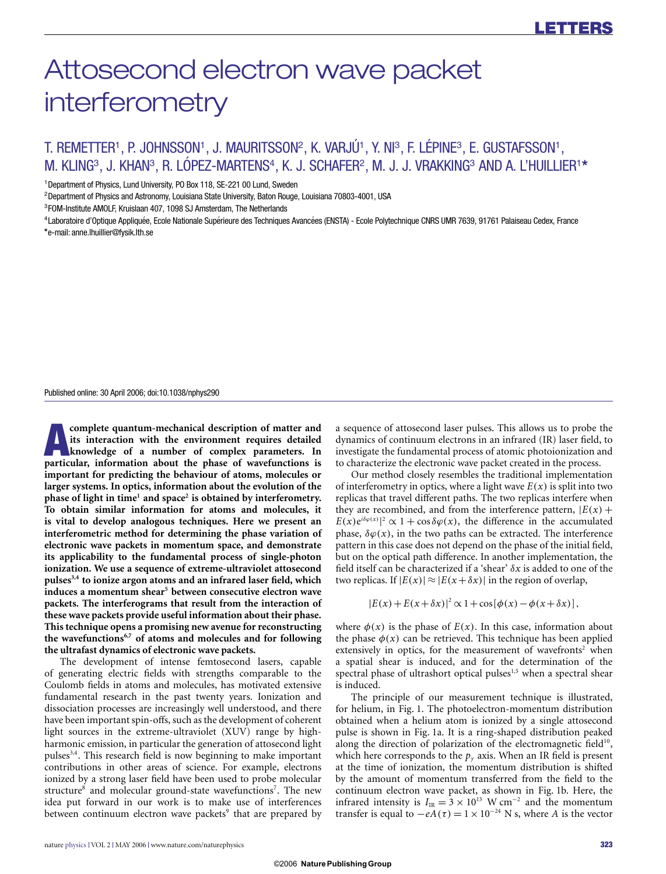# Attosecond electron wave packet interferometry

## T. REMETTER<sup>1</sup>, P. JOHNSSON<sup>1</sup>, J. MAURITSSON<sup>2</sup>, K. VARJÚ<sup>1</sup>, Y. NI<sup>3</sup>, F. LÉPINE<sup>3</sup>, E. GUSTAFSSON<sup>1</sup>, M. KLING<sup>3</sup>, J. KHAN<sup>3</sup>, R. LÓPEZ-MARTENS<sup>4</sup>, K. J. SCHAFER<sup>2</sup>, M. J. J. VRAKKING<sup>3</sup> AND A. L'HUILLIER<sup>1\*</sup>

<sup>1</sup> Department of Physics, Lund University, PO Box 118, SE-221 00 Lund, Sweden

<sup>2</sup>Department of Physics and Astronomy, Louisiana State University, Baton Rouge, Louisiana 70803-4001, USA

<sup>3</sup>FOM-Institute AMOLF, Kruislaan 407, 1098 SJ Amsterdam, The Netherlands

<sup>4</sup>Laboratoire d'Optique Appliquée, Ecole Nationale Supérieure des Techniques Avancées (ENSTA) - Ecole Polytechnique CNRS UMR 7639, 91761 Palaiseau Cedex, France **\***e-mail: anne.lhuillier@fysik.lth.se

Published online: 30 April 2006; doi:10.1038/nphys290

**A** complete quantum-mechanical description of matter and<br>
its interaction with the environment requires detailed<br>
knowledge of a number of complex parameters. In<br>
particular information about the phase of wavefunctions is **its interaction with the environment requires detailed particular, information about the phase of wavefunctions is important for predicting the behaviour of atoms, molecules or larger systems. In optics, information about the evolution of the phase of light in time1 and space2 is obtained by interferometry. To obtain similar information for atoms and molecules, it is vital to develop analogous techniques. Here we present an interferometric method for determining the phase variation of electronic wave packets in momentum space, and demonstrate its applicability to the fundamental process of single-photon ionization. We use a sequence of extreme-ultraviolet attosecond pulses3,4 to ionize argon atoms and an infrared laser field, which induces a momentum shear5 between consecutive electron wave packets. The interferograms that result from the interaction of these wave packets provide useful information about their phase. This technique opens a promising new avenue for reconstructing the wavefunctions6,7 of atoms and molecules and for following the ultrafast dynamics of electronic wave packets.**

The development of intense femtosecond lasers, capable of generating electric fields with strengths comparable to the Coulomb fields in atoms and molecules, has motivated extensive fundamental research in the past twenty years. Ionization and dissociation processes are increasingly well understood, and there have been important spin-offs, such as the development of coherent light sources in the extreme-ultraviolet (XUV) range by highharmonic emission, in particular the generation of attosecond light pulses<sup>3,4</sup>. This research field is now beginning to make important contributions in other areas of science. For example, electrons ionized by a strong laser field have been used to probe molecular structure<sup>8</sup> and molecular ground-state wavefunctions<sup>7</sup>. The new idea put forward in our work is to make use of interferences between continuum electron wave packets<sup>9</sup> that are prepared by a sequence of attosecond laser pulses. This allows us to probe the dynamics of continuum electrons in an infrared (IR) laser field, to investigate the fundamental process of atomic photoionization and to characterize the electronic wave packet created in the process.

Our method closely resembles the traditional implementation of interferometry in optics, where a light wave  $E(x)$  is split into two replicas that travel different paths. The two replicas interfere when they are recombined, and from the interference pattern,  $|E(x) +$  $E(x)e^{i\delta\varphi(x)}|^2 \propto 1 + \cos\delta\varphi(x)$ , the difference in the accumulated phase,  $\delta\varphi(x)$ , in the two paths can be extracted. The interference pattern in this case does not depend on the phase of the initial field, but on the optical path difference. In another implementation, the field itself can be characterized if a 'shear' δ*x* is added to one of the two replicas. If  $|E(x)| \approx |E(x + \delta x)|$  in the region of overlap,

 $|E(x) + E(x + δx)|^2$  ∝ 1 + cos[ $φ(x) − φ(x + δx)$ ],

where  $\phi(x)$  is the phase of  $E(x)$ . In this case, information about the phase  $\phi(x)$  can be retrieved. This technique has been applied extensively in optics, for the measurement of wavefronts<sup>2</sup> when a spatial shear is induced, and for the determination of the spectral phase of ultrashort optical pulses<sup>1,5</sup> when a spectral shear is induced.

The principle of our measurement technique is illustrated, for helium, in Fig. 1. The photoelectron-momentum distribution obtained when a helium atom is ionized by a single attosecond pulse is shown in Fig. 1a. It is a ring-shaped distribution peaked along the direction of polarization of the electromagnetic field<sup>10</sup>, which here corresponds to the  $p_y$  axis. When an IR field is present at the time of ionization, the momentum distribution is shifted by the amount of momentum transferred from the field to the continuum electron wave packet, as shown in Fig. 1b. Here, the infrared intensity is  $I_{IR} = 3 \times 10^{13}$  W cm<sup>-2</sup> and the momentum transfer is equal to  $-eA(\tau) = 1 \times 10^{-24}$  N s, where *A* is the vector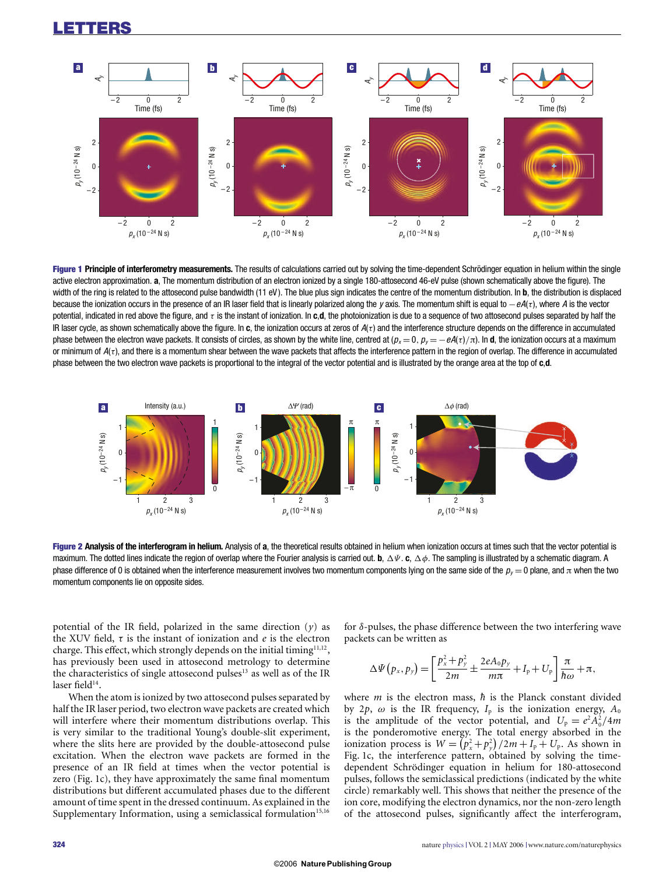

**Figure 1 Principle of interferometry measurements.** The results of calculations carried out by solving the time-dependent Schrödinger equation in helium within the single active electron approximation. **a**, The momentum distribution of an electron ionized by a single 180-attosecond 46-eV pulse (shown schematically above the figure). The width of the ring is related to the attosecond pulse bandwidth (11 eV). The blue plus sign indicates the centre of the momentum distribution. In **b**, the distribution is displaced because the ionization occurs in the presence of an IR laser field that is linearly polarized along the y axis. The momentum shift is equal to  $-eA(r)$ , where A is the vector potential, indicated in red above the figure, and τ is the instant of ionization. In **c**,**d**, the photoionization is due to a sequence of two attosecond pulses separated by half the IR laser cycle, as shown schematically above the figure. In  $c$ , the ionization occurs at zeros of  $A(\tau)$  and the interference structure depends on the difference in accumulated phase between the electron wave packets. It consists of circles, as shown by the white line, centred at  $(p_x = 0, p_y = -eA(\tau)/\pi)$ . In **d**, the ionization occurs at a maximum or minimum of  $A(\tau)$ , and there is a momentum shear between the wave packets that affects the interference pattern in the region of overlap. The difference in accumulated phase between the two electron wave packets is proportional to the integral of the vector potential and is illustrated by the orange area at the top of **c**,**d**.



**Figure 2 Analysis of the interferogram in helium.** Analysis of **a**, the theoretical results obtained in helium when ionization occurs at times such that the vector potential is maximum. The dotted lines indicate the region of overlap where the Fourier analysis is carried out. **b**, Ψ. **c**, φ. The sampling is illustrated by a schematic diagram. A phase difference of 0 is obtained when the interference measurement involves two momentum components lying on the same side of the  $p_y = 0$  plane, and  $\pi$  when the two momentum components lie on opposite sides.

potential of the IR field, polarized in the same direction (*y*) as the XUV field, τ is the instant of ionization and *e* is the electron charge. This effect, which strongly depends on the initial timing<sup>11,12</sup>, has previously been used in attosecond metrology to determine the characteristics of single attosecond pulses $13$  as well as of the IR laser field<sup>14</sup>.

When the atom is ionized by two attosecond pulses separated by half the IR laser period, two electron wave packets are created which will interfere where their momentum distributions overlap. This is very similar to the traditional Young's double-slit experiment, where the slits here are provided by the double-attosecond pulse excitation. When the electron wave packets are formed in the presence of an IR field at times when the vector potential is zero (Fig. 1c), they have approximately the same final momentum distributions but different accumulated phases due to the different amount of time spent in the dressed continuum. As explained in the Supplementary Information, using a semiclassical formulation<sup>15,16</sup>

for δ-pulses, the phase difference between the two interfering wave packets can be written as

$$
\Delta \Psi (p_x, p_y) = \left[ \frac{p_x^2 + p_y^2}{2m} \pm \frac{2eA_0p_y}{m\pi} + I_p + U_p \right] \frac{\pi}{\hbar \omega} + \pi,
$$

where  $m$  is the electron mass,  $\hbar$  is the Planck constant divided by 2p,  $\omega$  is the IR frequency,  $I_p$  is the ionization energy,  $A_0$ is the amplitude of the vector potential, and  $U_p = e^2 A_0^2 / 4m$ is the ponderomotive energy. The total energy absorbed in the ionization process is  $W = (p_x^2 + p_y^2)/2m + I_p + U_p$ . As shown in Fig. 1c, the interference pattern, obtained by solving the timedependent Schrödinger equation in helium for 180-attosecond pulses, follows the semiclassical predictions (indicated by the white circle) remarkably well. This shows that neither the presence of the ion core, modifying the electron dynamics, nor the non-zero length of the attosecond pulses, significantly affect the interferogram,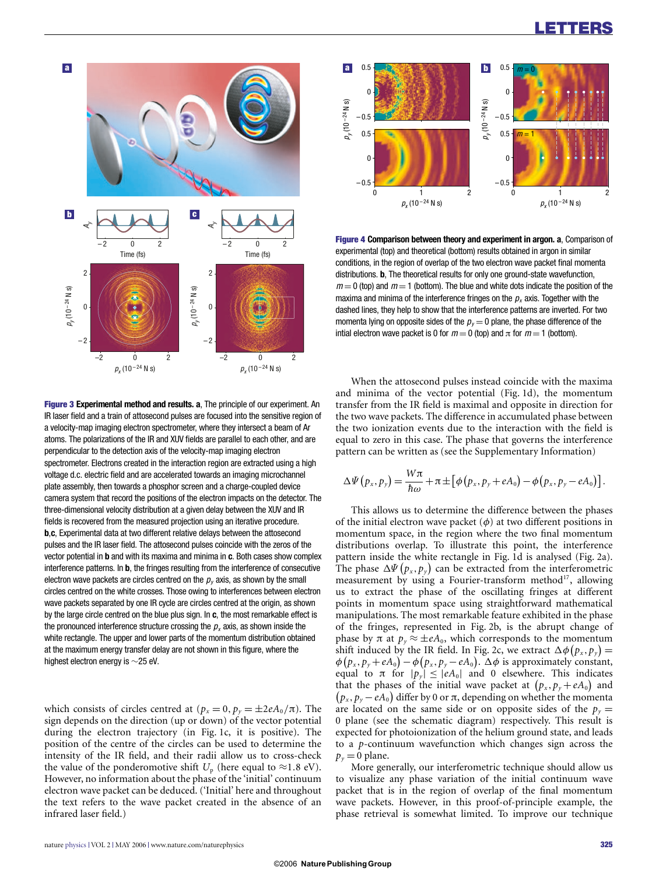### **LETTERS**



**Figure 3 Experimental method and results. a**, The principle of our experiment. An IR laser field and a train of attosecond pulses are focused into the sensitive region of a velocity-map imaging electron spectrometer, where they intersect a beam of Ar atoms. The polarizations of the IR and XUV fields are parallel to each other, and are perpendicular to the detection axis of the velocity-map imaging electron spectrometer. Electrons created in the interaction region are extracted using a high voltage d.c. electric field and are accelerated towards an imaging microchannel plate assembly, then towards a phosphor screen and a charge-coupled device camera system that record the positions of the electron impacts on the detector. The three-dimensional velocity distribution at a given delay between the XUV and IR fields is recovered from the measured projection using an iterative procedure. **b**,**c**, Experimental data at two different relative delays between the attosecond pulses and the IR laser field. The attosecond pulses coincide with the zeros of the vector potential in **b** and with its maxima and minima in **c**. Both cases show complex interference patterns. In **b**, the fringes resulting from the interference of consecutive electron wave packets are circles centred on the  $p<sub>v</sub>$  axis, as shown by the small circles centred on the white crosses. Those owing to interferences between electron wave packets separated by one IR cycle are circles centred at the origin, as shown by the large circle centred on the blue plus sign. In **c**, the most remarkable effect is the pronounced interference structure crossing the  $p<sub>x</sub>$  axis, as shown inside the white rectangle. The upper and lower parts of the momentum distribution obtained at the maximum energy transfer delay are not shown in this figure, where the highest electron energy is ∼25 eV.

which consists of circles centred at  $(p_x = 0, p_y = \pm 2eA_0/\pi)$ . The sign depends on the direction (up or down) of the vector potential during the electron trajectory (in Fig. 1c, it is positive). The position of the centre of the circles can be used to determine the intensity of the IR field, and their radii allow us to cross-check the value of the ponderomotive shift  $U_p$  (here equal to  $\approx$ 1.8 eV). However, no information about the phase of the 'initial' continuum electron wave packet can be deduced. ('Initial' here and throughout the text refers to the wave packet created in the absence of an infrared laser field.)



**Figure 4 Comparison between theory and experiment in argon. a**, Comparison of experimental (top) and theoretical (bottom) results obtained in argon in similar conditions, in the region of overlap of the two electron wave packet final momenta distributions. **b**, The theoretical results for only one ground-state wavefunction,  $m = 0$  (top) and  $m = 1$  (bottom). The blue and white dots indicate the position of the maxima and minima of the interference fringes on the  $p_x$  axis. Together with the dashed lines, they help to show that the interference patterns are inverted. For two momenta lying on opposite sides of the  $p_y = 0$  plane, the phase difference of the intial electron wave packet is 0 for  $m = 0$  (top) and  $\pi$  for  $m = 1$  (bottom).

When the attosecond pulses instead coincide with the maxima and minima of the vector potential (Fig. 1d), the momentum transfer from the IR field is maximal and opposite in direction for the two wave packets. The difference in accumulated phase between the two ionization events due to the interaction with the field is equal to zero in this case. The phase that governs the interference pattern can be written as (see the Supplementary Information)

$$
\Delta\Psi(p_x,p_y)=\frac{W\pi}{\hbar\omega}+\pi\pm[\phi(p_x,p_y+eA_0)-\phi(p_x,p_y-eA_0)].
$$

This allows us to determine the difference between the phases of the initial electron wave packet  $(\phi)$  at two different positions in momentum space, in the region where the two final momentum distributions overlap. To illustrate this point, the interference pattern inside the white rectangle in Fig. 1d is analysed (Fig. 2a). The phase  $\Delta \Psi (p_x, p_y)$  can be extracted from the interferometric measurement by using a Fourier-transform method<sup>17</sup>, allowing us to extract the phase of the oscillating fringes at different points in momentum space using straightforward mathematical manipulations. The most remarkable feature exhibited in the phase of the fringes, represented in Fig. 2b, is the abrupt change of phase by  $\pi$  at  $p_y \approx \pm eA_0$ , which corresponds to the momentum shift induced by the IR field. In Fig. 2c, we extract  $\Delta \phi(p_x, p_y) =$  $\phi(p_x, p_y + eA_0) - \phi(p_x, p_y - eA_0)$ .  $\Delta \phi$  is approximately constant, equal to  $\pi$  for  $|p_{y}| \leq |eA_0|$  and 0 elsewhere. This indicates that the phases of the initial wave packet at  $(p_x, p_y + eA_0)$  and  $(p_x, p_y - eA_0)$  differ by 0 or  $\pi$ , depending on whether the momenta are located on the same side or on opposite sides of the  $p_y =$ 0 plane (see the schematic diagram) respectively. This result is expected for photoionization of the helium ground state, and leads to a *p*-continuum wavefunction which changes sign across the  $p_y = 0$  plane.

More generally, our interferometric technique should allow us to visualize any phase variation of the initial continuum wave packet that is in the region of overlap of the final momentum wave packets. However, in this proof-of-principle example, the phase retrieval is somewhat limited. To improve our technique